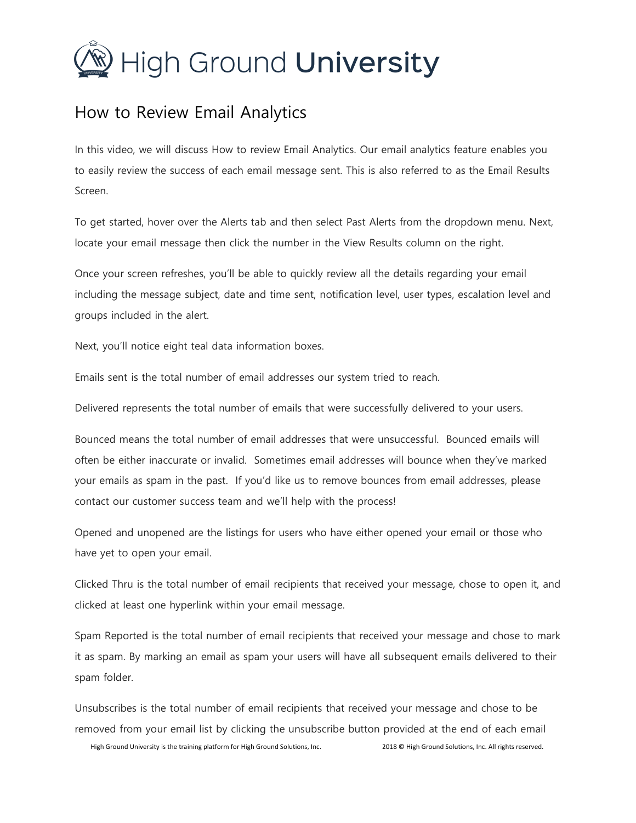## $\mathcal{D}$  High Ground **University**

## How to Review Email Analytics

In this video, we will discuss How to review Email Analytics. Our email analytics feature enables you to easily review the success of each email message sent. This is also referred to as the Email Results Screen.

To get started, hover over the Alerts tab and then select Past Alerts from the dropdown menu. Next, locate your email message then click the number in the View Results column on the right.

Once your screen refreshes, you'll be able to quickly review all the details regarding your email including the message subject, date and time sent, notification level, user types, escalation level and groups included in the alert.

Next, you'll notice eight teal data information boxes.

Emails sent is the total number of email addresses our system tried to reach.

Delivered represents the total number of emails that were successfully delivered to your users.

Bounced means the total number of email addresses that were unsuccessful. Bounced emails will often be either inaccurate or invalid. Sometimes email addresses will bounce when they've marked your emails as spam in the past. If you'd like us to remove bounces from email addresses, please contact our customer success team and we'll help with the process!

Opened and unopened are the listings for users who have either opened your email or those who have yet to open your email.

Clicked Thru is the total number of email recipients that received your message, chose to open it, and clicked at least one hyperlink within your email message.

Spam Reported is the total number of email recipients that received your message and chose to mark it as spam. By marking an email as spam your users will have all subsequent emails delivered to their spam folder.

Unsubscribes is the total number of email recipients that received your message and chose to be removed from your email list by clicking the unsubscribe button provided at the end of each email

High Ground University is the training platform for High Ground Solutions, Inc. 2018 © High Ground Solutions, Inc. All rights reserved.